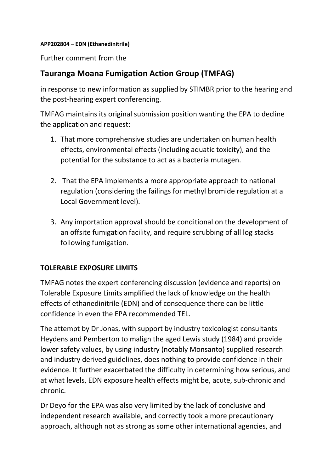**APP202804 – EDN (Ethanedinitrile)**

Further comment from the

# **Tauranga Moana Fumigation Action Group (TMFAG)**

in response to new information as supplied by STIMBR prior to the hearing and the post-hearing expert conferencing.

TMFAG maintains its original submission position wanting the EPA to decline the application and request:

- 1. That more comprehensive studies are undertaken on human health effects, environmental effects (including aquatic toxicity), and the potential for the substance to act as a bacteria mutagen.
- 2. That the EPA implements a more appropriate approach to national regulation (considering the failings for methyl bromide regulation at a Local Government level).
- 3. Any importation approval should be conditional on the development of an offsite fumigation facility, and require scrubbing of all log stacks following fumigation.

### **TOLERABLE EXPOSURE LIMITS**

TMFAG notes the expert conferencing discussion (evidence and reports) on Tolerable Exposure Limits amplified the lack of knowledge on the health effects of ethanedinitrile (EDN) and of consequence there can be little confidence in even the EPA recommended TEL.

The attempt by Dr Jonas, with support by industry toxicologist consultants Heydens and Pemberton to malign the aged Lewis study (1984) and provide lower safety values, by using industry (notably Monsanto) supplied research and industry derived guidelines, does nothing to provide confidence in their evidence. It further exacerbated the difficulty in determining how serious, and at what levels, EDN exposure health effects might be, acute, sub-chronic and chronic.

Dr Deyo for the EPA was also very limited by the lack of conclusive and independent research available, and correctly took a more precautionary approach, although not as strong as some other international agencies, and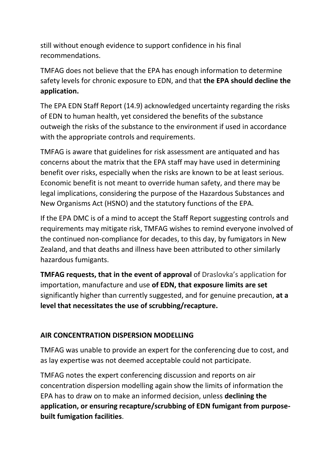still without enough evidence to support confidence in his final recommendations.

TMFAG does not believe that the EPA has enough information to determine safety levels for chronic exposure to EDN, and that **the EPA should decline the application.**

The EPA EDN Staff Report (14.9) acknowledged uncertainty regarding the risks of EDN to human health, yet considered the benefits of the substance outweigh the risks of the substance to the environment if used in accordance with the appropriate controls and requirements.

TMFAG is aware that guidelines for risk assessment are antiquated and has concerns about the matrix that the EPA staff may have used in determining benefit over risks, especially when the risks are known to be at least serious. Economic benefit is not meant to override human safety, and there may be legal implications, considering the purpose of the Hazardous Substances and New Organisms Act (HSNO) and the statutory functions of the EPA.

If the EPA DMC is of a mind to accept the Staff Report suggesting controls and requirements may mitigate risk, TMFAG wishes to remind everyone involved of the continued non-compliance for decades, to this day, by fumigators in New Zealand, and that deaths and illness have been attributed to other similarly hazardous fumigants.

**TMFAG requests, that in the event of approval** of Draslovka's application for importation, manufacture and use **of EDN, that exposure limits are set** significantly higher than currently suggested, and for genuine precaution, **at a level that necessitates the use of scrubbing/recapture.**

### **AIR CONCENTRATION DISPERSION MODELLING**

TMFAG was unable to provide an expert for the conferencing due to cost, and as lay expertise was not deemed acceptable could not participate.

TMFAG notes the expert conferencing discussion and reports on air concentration dispersion modelling again show the limits of information the EPA has to draw on to make an informed decision, unless **declining the application, or ensuring recapture/scrubbing of EDN fumigant from purposebuilt fumigation facilities**.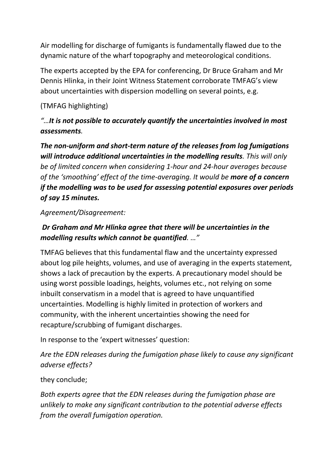Air modelling for discharge of fumigants is fundamentally flawed due to the dynamic nature of the wharf topography and meteorological conditions.

The experts accepted by the EPA for conferencing, Dr Bruce Graham and Mr Dennis Hlinka, in their Joint Witness Statement corroborate TMFAG's view about uncertainties with dispersion modelling on several points, e.g.

## (TMFAG highlighting)

# *"…It is not possible to accurately quantify the uncertainties involved in most assessments.*

*The non-uniform and short-term nature of the releases from log fumigations will introduce additional uncertainties in the modelling results. This will only be of limited concern when considering 1-hour and 24-hour averages because of the 'smoothing' effect of the time-averaging. It would be more of a concern if the modelling was to be used for assessing potential exposures over periods of say 15 minutes.* 

#### *Agreement/Disagreement:*

## *Dr Graham and Mr Hlinka agree that there will be uncertainties in the modelling results which cannot be quantified. …"*

TMFAG believes that this fundamental flaw and the uncertainty expressed about log pile heights, volumes, and use of averaging in the experts statement, shows a lack of precaution by the experts. A precautionary model should be using worst possible loadings, heights, volumes etc., not relying on some inbuilt conservatism in a model that is agreed to have unquantified uncertainties. Modelling is highly limited in protection of workers and community, with the inherent uncertainties showing the need for recapture/scrubbing of fumigant discharges.

In response to the 'expert witnesses' question:

*Are the EDN releases during the fumigation phase likely to cause any significant adverse effects?*

### they conclude;

*Both experts agree that the EDN releases during the fumigation phase are unlikely to make any significant contribution to the potential adverse effects from the overall fumigation operation.*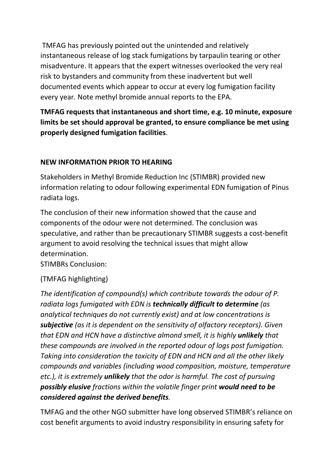TMFAG has previously pointed out the unintended and relatively instantaneous release of log stack fumigations by tarpaulin tearing or other misadventure. It appears that the expert witnesses overlooked the very real risk to bystanders and community from these inadvertent but well documented events which appear to occur at every log fumigation facility every year. Note methyl bromide annual reports to the EPA.

**TMFAG requests that instantaneous and short time, e.g. 10 minute, exposure limits be set should approval be granted, to ensure compliance be met using properly designed fumigation facilities**.

#### **NEW INFORMATION PRIOR TO HEARING**

Stakeholders in Methyl Bromide Reduction Inc (STIMBR) provided new information relating to odour following experimental EDN fumigation of Pinus radiata logs.

The conclusion of their new information showed that the cause and components of the odour were not determined. The conclusion was speculative, and rather than be precautionary STIMBR suggests a cost-benefit argument to avoid resolving the technical issues that might allow determination.

STIMBRs Conclusion:

### (TMFAG highlighting)

*The identification of compound(s) which contribute towards the odour of P. radiata logs fumigated with EDN is technically difficult to determine (as analytical techniques do not currently exist) and at low concentrations is subjective (as it is dependent on the sensitivity of olfactory receptors). Given that EDN and HCN have a distinctive almond smell, it is highly unlikely that these compounds are involved in the reported odour of logs post fumigation. Taking into consideration the toxicity of EDN and HCN and all the other likely compounds and variables (including wood composition, moisture, temperature etc.), it is extremely unlikely that the odor is harmful. The cost of pursuing possibly elusive fractions within the volatile finger print would need to be considered against the derived benefits.*

TMFAG and the other NGO submitter have long observed STIMBR's reliance on cost benefit arguments to avoid industry responsibility in ensuring safety for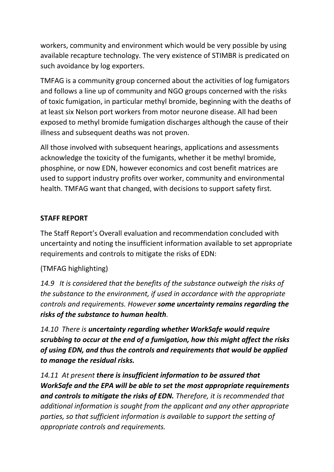workers, community and environment which would be very possible by using available recapture technology. The very existence of STIMBR is predicated on such avoidance by log exporters.

TMFAG is a community group concerned about the activities of log fumigators and follows a line up of community and NGO groups concerned with the risks of toxic fumigation, in particular methyl bromide, beginning with the deaths of at least six Nelson port workers from motor neurone disease. All had been exposed to methyl bromide fumigation discharges although the cause of their illness and subsequent deaths was not proven.

All those involved with subsequent hearings, applications and assessments acknowledge the toxicity of the fumigants, whether it be methyl bromide, phosphine, or now EDN, however economics and cost benefit matrices are used to support industry profits over worker, community and environmental health. TMFAG want that changed, with decisions to support safety first.

## **STAFF REPORT**

The Staff Report's Overall evaluation and recommendation concluded with uncertainty and noting the insufficient information available to set appropriate requirements and controls to mitigate the risks of EDN:

### (TMFAG highlighting)

*14.9 It is considered that the benefits of the substance outweigh the risks of the substance to the environment, if used in accordance with the appropriate controls and requirements. However some uncertainty remains regarding the risks of the substance to human health.*

*14.10 There is uncertainty regarding whether WorkSafe would require scrubbing to occur at the end of a fumigation, how this might affect the risks of using EDN, and thus the controls and requirements that would be applied to manage the residual risks.* 

*14.11 At present there is insufficient information to be assured that WorkSafe and the EPA will be able to set the most appropriate requirements and controls to mitigate the risks of EDN. Therefore, it is recommended that additional information is sought from the applicant and any other appropriate parties, so that sufficient information is available to support the setting of appropriate controls and requirements.*